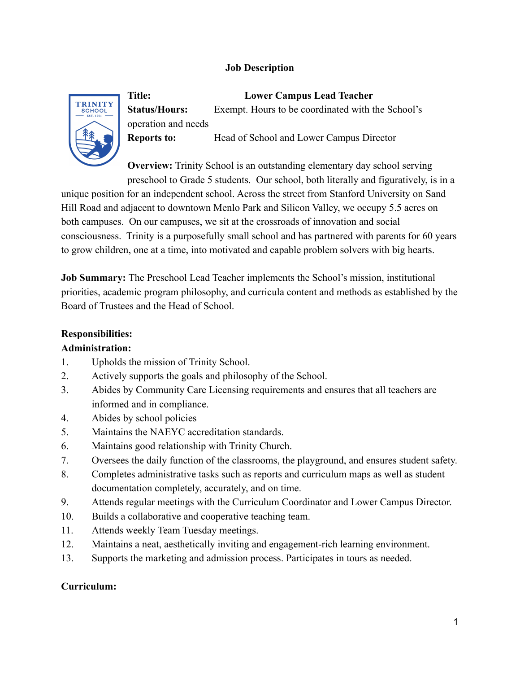## **Job Description**



**Title: Lower Campus Lead Teacher Status/Hours:** Exempt. Hours to be coordinated with the School's operation and needs **Reports to:** Head of School and Lower Campus Director

**Overview:** Trinity School is an outstanding elementary day school serving preschool to Grade 5 students. Our school, both literally and figuratively, is in a

unique position for an independent school. Across the street from Stanford University on Sand Hill Road and adjacent to downtown Menlo Park and Silicon Valley, we occupy 5.5 acres on both campuses. On our campuses, we sit at the crossroads of innovation and social consciousness. Trinity is a purposefully small school and has partnered with parents for 60 years to grow children, one at a time, into motivated and capable problem solvers with big hearts.

**Job Summary:** The Preschool Lead Teacher implements the School's mission, institutional priorities, academic program philosophy, and curricula content and methods as established by the Board of Trustees and the Head of School.

#### **Responsibilities:**

#### **Administration:**

- 1. Upholds the mission of Trinity School.
- 2. Actively supports the goals and philosophy of the School.
- 3. Abides by Community Care Licensing requirements and ensures that all teachers are informed and in compliance.
- 4. Abides by school policies
- 5. Maintains the NAEYC accreditation standards.
- 6. Maintains good relationship with Trinity Church.
- 7. Oversees the daily function of the classrooms, the playground, and ensures student safety.
- 8. Completes administrative tasks such as reports and curriculum maps as well as student documentation completely, accurately, and on time.
- 9. Attends regular meetings with the Curriculum Coordinator and Lower Campus Director.
- 10. Builds a collaborative and cooperative teaching team.
- 11. Attends weekly Team Tuesday meetings.
- 12. Maintains a neat, aesthetically inviting and engagement-rich learning environment.
- 13. Supports the marketing and admission process. Participates in tours as needed.

#### **Curriculum:**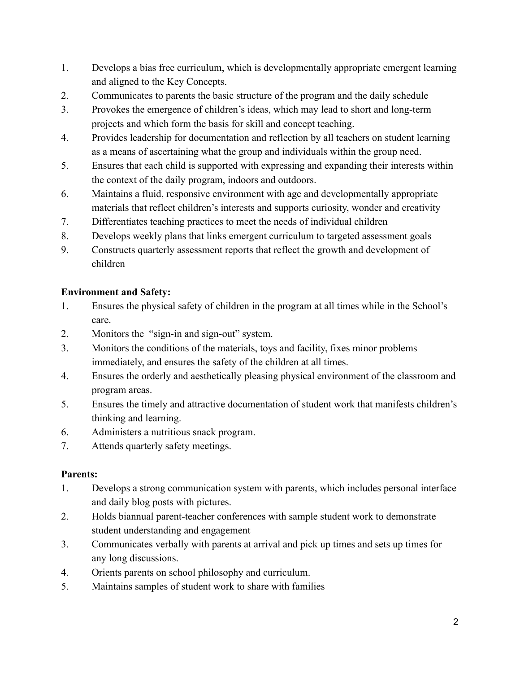- 1. Develops a bias free curriculum, which is developmentally appropriate emergent learning and aligned to the Key Concepts.
- 2. Communicates to parents the basic structure of the program and the daily schedule
- 3. Provokes the emergence of children's ideas, which may lead to short and long-term projects and which form the basis for skill and concept teaching.
- 4. Provides leadership for documentation and reflection by all teachers on student learning as a means of ascertaining what the group and individuals within the group need.
- 5. Ensures that each child is supported with expressing and expanding their interests within the context of the daily program, indoors and outdoors.
- 6. Maintains a fluid, responsive environment with age and developmentally appropriate materials that reflect children's interests and supports curiosity, wonder and creativity
- 7. Differentiates teaching practices to meet the needs of individual children
- 8. Develops weekly plans that links emergent curriculum to targeted assessment goals
- 9. Constructs quarterly assessment reports that reflect the growth and development of children

## **Environment and Safety:**

- 1. Ensures the physical safety of children in the program at all times while in the School's care.
- 2. Monitors the "sign-in and sign-out" system.
- 3. Monitors the conditions of the materials, toys and facility, fixes minor problems immediately, and ensures the safety of the children at all times.
- 4. Ensures the orderly and aesthetically pleasing physical environment of the classroom and program areas.
- 5. Ensures the timely and attractive documentation of student work that manifests children's thinking and learning.
- 6. Administers a nutritious snack program.
- 7. Attends quarterly safety meetings.

# **Parents:**

- 1. Develops a strong communication system with parents, which includes personal interface and daily blog posts with pictures.
- 2. Holds biannual parent-teacher conferences with sample student work to demonstrate student understanding and engagement
- 3. Communicates verbally with parents at arrival and pick up times and sets up times for any long discussions.
- 4. Orients parents on school philosophy and curriculum.
- 5. Maintains samples of student work to share with families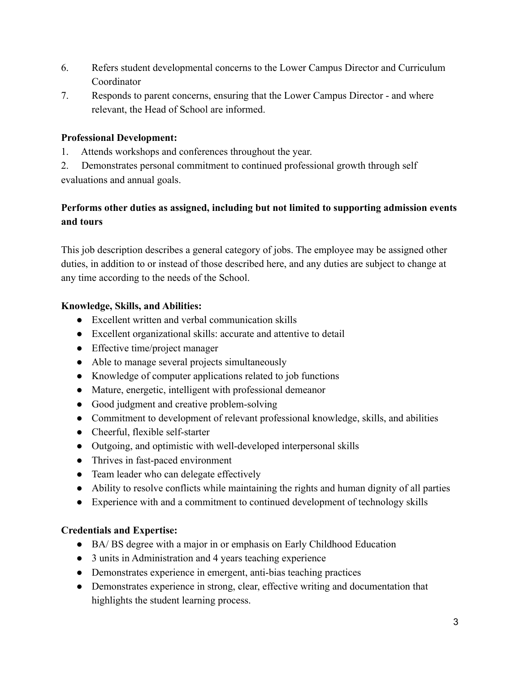- 6. Refers student developmental concerns to the Lower Campus Director and Curriculum Coordinator
- 7. Responds to parent concerns, ensuring that the Lower Campus Director and where relevant, the Head of School are informed.

#### **Professional Development:**

1. Attends workshops and conferences throughout the year.

2. Demonstrates personal commitment to continued professional growth through self evaluations and annual goals.

# **Performs other duties as assigned, including but not limited to supporting admission events and tours**

This job description describes a general category of jobs. The employee may be assigned other duties, in addition to or instead of those described here, and any duties are subject to change at any time according to the needs of the School.

## **Knowledge, Skills, and Abilities:**

- Excellent written and verbal communication skills
- Excellent organizational skills: accurate and attentive to detail
- Effective time/project manager
- Able to manage several projects simultaneously
- Knowledge of computer applications related to job functions
- Mature, energetic, intelligent with professional demeanor
- Good judgment and creative problem-solving
- Commitment to development of relevant professional knowledge, skills, and abilities
- Cheerful, flexible self-starter
- Outgoing, and optimistic with well-developed interpersonal skills
- Thrives in fast-paced environment
- Team leader who can delegate effectively
- Ability to resolve conflicts while maintaining the rights and human dignity of all parties
- Experience with and a commitment to continued development of technology skills

# **Credentials and Expertise:**

- BA/ BS degree with a major in or emphasis on Early Childhood Education
- 3 units in Administration and 4 years teaching experience
- Demonstrates experience in emergent, anti-bias teaching practices
- Demonstrates experience in strong, clear, effective writing and documentation that highlights the student learning process.